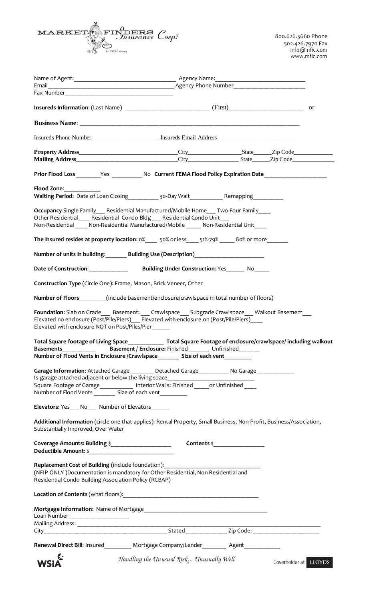

| Fax Number 2008 2009 2010 2021 2022 2023 2024 2022 2023 2024 2022 2023 2024 2022 2023 2024 2025 2026 2027 2028 |                                                                                                                                                                                                                                                                                                                                        |                                                                |
|----------------------------------------------------------------------------------------------------------------|----------------------------------------------------------------------------------------------------------------------------------------------------------------------------------------------------------------------------------------------------------------------------------------------------------------------------------------|----------------------------------------------------------------|
|                                                                                                                |                                                                                                                                                                                                                                                                                                                                        |                                                                |
|                                                                                                                |                                                                                                                                                                                                                                                                                                                                        |                                                                |
|                                                                                                                |                                                                                                                                                                                                                                                                                                                                        |                                                                |
|                                                                                                                | Insureds Phone Number__________________________________ Insureds Email Address________________________________                                                                                                                                                                                                                         |                                                                |
|                                                                                                                |                                                                                                                                                                                                                                                                                                                                        |                                                                |
|                                                                                                                |                                                                                                                                                                                                                                                                                                                                        |                                                                |
|                                                                                                                | Prior Flood Loss ________Yes _____________No Current FEMA Flood Policy Expiration Date ___________________                                                                                                                                                                                                                             |                                                                |
| Flood Zone:                                                                                                    | Waiting Period: Date of Loan Closing 1990-000 Mait 1990-000 Remapping                                                                                                                                                                                                                                                                  |                                                                |
|                                                                                                                | Occupancy Single Family Residential Manufactured/Mobile Home___ Two-Four Family____<br>Other Residential Residential Condo Bldg Residential Condo Unit<br>Non-Residential _____ Non-Residential Manufactured/Mobile ______ Non-Residential Unit ____                                                                                   |                                                                |
|                                                                                                                | The insured resides at property location: 0%_______ 50% or less______51%-79%_______80% or more___________                                                                                                                                                                                                                              |                                                                |
|                                                                                                                | Number of units in building: Building Use (Description) [100]                                                                                                                                                                                                                                                                          |                                                                |
|                                                                                                                |                                                                                                                                                                                                                                                                                                                                        |                                                                |
|                                                                                                                | Construction Type (Circle One): Frame, Mason, Brick Veneer, Other                                                                                                                                                                                                                                                                      |                                                                |
|                                                                                                                | Number of Floors (include basement/enclosure/crawlspace in total number of floors)                                                                                                                                                                                                                                                     |                                                                |
| Elevated with enclosure NOT on Post/Piles/Pier<br>Total Square footage of Living Space<br><b>Basements</b>     |                                                                                                                                                                                                                                                                                                                                        | Total Square Footage of enclosure/crawlspace/including walkout |
|                                                                                                                | Number of Flood Vents in Enclosure /Crawlspace___________________________________                                                                                                                                                                                                                                                      |                                                                |
|                                                                                                                | Garage Information: Attached Garage________ Detached Garage__________ No Garage ____________<br>Is garage attached adjacent or below the living space___________________________<br>Square Footage of Garage____________ Interior Walls: Finished ______or Unfinished ____<br>Number of Flood Vents ________ Size of each vent________ |                                                                |
| Elevators: Yes___ No___ Number of Elevators______                                                              |                                                                                                                                                                                                                                                                                                                                        |                                                                |
| Substantially Improved, Over Water                                                                             | Additional Information (circle one that applies): Rental Property, Small Business, Non-Profit, Business/Association,                                                                                                                                                                                                                   |                                                                |
|                                                                                                                |                                                                                                                                                                                                                                                                                                                                        |                                                                |
| Replacement Cost of Building (include foundation):<br>Residential Condo Building Association Policy (RCBAP)    | (NFIP ONLY) Documentation is mandatory for Other Residential, Non Residential and                                                                                                                                                                                                                                                      |                                                                |
|                                                                                                                |                                                                                                                                                                                                                                                                                                                                        |                                                                |
| Loan Number_____________________                                                                               |                                                                                                                                                                                                                                                                                                                                        |                                                                |
|                                                                                                                |                                                                                                                                                                                                                                                                                                                                        |                                                                |
|                                                                                                                |                                                                                                                                                                                                                                                                                                                                        |                                                                |
|                                                                                                                | Renewal Direct Bill: Insured_________ Mortgage Company/Lender________ Agent___________                                                                                                                                                                                                                                                 |                                                                |
| WSiA                                                                                                           | Handling the Unusual Risk Unusually Well                                                                                                                                                                                                                                                                                               | Coverholder at LLOYD'S                                         |